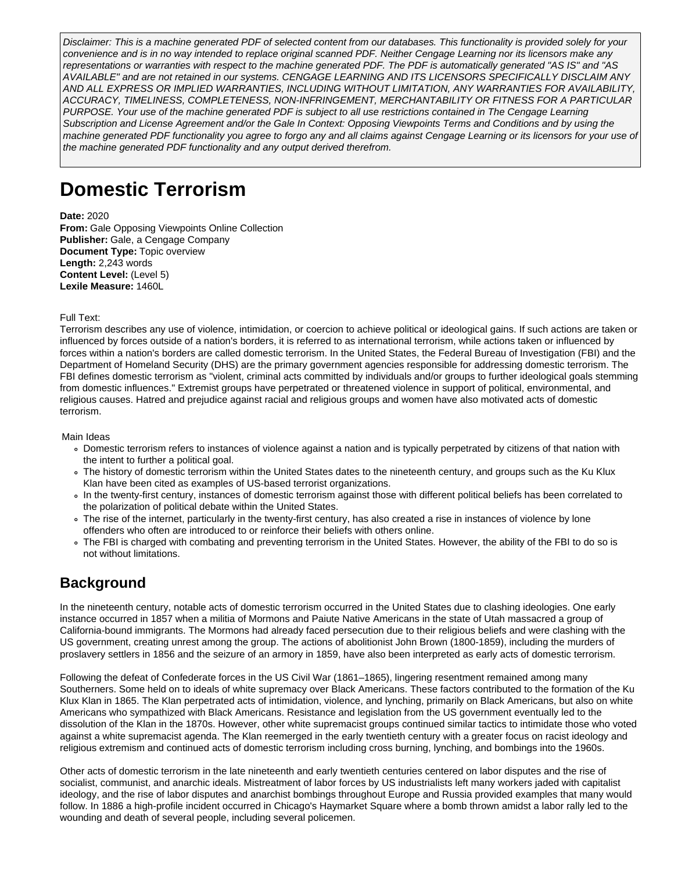Disclaimer: This is a machine generated PDF of selected content from our databases. This functionality is provided solely for your convenience and is in no way intended to replace original scanned PDF. Neither Cengage Learning nor its licensors make any representations or warranties with respect to the machine generated PDF. The PDF is automatically generated "AS IS" and "AS AVAILABLE" and are not retained in our systems. CENGAGE LEARNING AND ITS LICENSORS SPECIFICALLY DISCLAIM ANY AND ALL EXPRESS OR IMPLIED WARRANTIES, INCLUDING WITHOUT LIMITATION, ANY WARRANTIES FOR AVAILABILITY, ACCURACY, TIMELINESS, COMPLETENESS, NON-INFRINGEMENT, MERCHANTABILITY OR FITNESS FOR A PARTICULAR PURPOSE. Your use of the machine generated PDF is subject to all use restrictions contained in The Cengage Learning Subscription and License Agreement and/or the Gale In Context: Opposing Viewpoints Terms and Conditions and by using the machine generated PDF functionality you agree to forgo any and all claims against Cengage Learning or its licensors for your use of the machine generated PDF functionality and any output derived therefrom.

# **Domestic Terrorism**

**Date:** 2020 **From:** Gale Opposing Viewpoints Online Collection **Publisher:** Gale, a Cengage Company **Document Type:** Topic overview **Length:** 2,243 words **Content Level:** (Level 5) **Lexile Measure:** 1460L

Full Text:

Terrorism describes any use of violence, intimidation, or coercion to achieve political or ideological gains. If such actions are taken or influenced by forces outside of a nation's borders, it is referred to as international terrorism, while actions taken or influenced by forces within a nation's borders are called domestic terrorism. In the United States, the Federal Bureau of Investigation (FBI) and the Department of Homeland Security (DHS) are the primary government agencies responsible for addressing domestic terrorism. The FBI defines domestic terrorism as "violent, criminal acts committed by individuals and/or groups to further ideological goals stemming from domestic influences." Extremist groups have perpetrated or threatened violence in support of political, environmental, and religious causes. Hatred and prejudice against racial and religious groups and women have also motivated acts of domestic terrorism.

Main Ideas

- Domestic terrorism refers to instances of violence against a nation and is typically perpetrated by citizens of that nation with the intent to further a political goal.
- The history of domestic terrorism within the United States dates to the nineteenth century, and groups such as the Ku Klux Klan have been cited as examples of US-based terrorist organizations.
- In the twenty-first century, instances of domestic terrorism against those with different political beliefs has been correlated to the polarization of political debate within the United States.
- The rise of the internet, particularly in the twenty-first century, has also created a rise in instances of violence by lone offenders who often are introduced to or reinforce their beliefs with others online.
- The FBI is charged with combating and preventing terrorism in the United States. However, the ability of the FBI to do so is not without limitations.

# **Background**

In the nineteenth century, notable acts of domestic terrorism occurred in the United States due to clashing ideologies. One early instance occurred in 1857 when a militia of Mormons and Paiute Native Americans in the state of Utah massacred a group of California-bound immigrants. The Mormons had already faced persecution due to their religious beliefs and were clashing with the US government, creating unrest among the group. The actions of abolitionist John Brown (1800-1859), including the murders of proslavery settlers in 1856 and the seizure of an armory in 1859, have also been interpreted as early acts of domestic terrorism.

Following the defeat of Confederate forces in the US Civil War (1861–1865), lingering resentment remained among many Southerners. Some held on to ideals of white supremacy over Black Americans. These factors contributed to the formation of the Ku Klux Klan in 1865. The Klan perpetrated acts of intimidation, violence, and lynching, primarily on Black Americans, but also on white Americans who sympathized with Black Americans. Resistance and legislation from the US government eventually led to the dissolution of the Klan in the 1870s. However, other white supremacist groups continued similar tactics to intimidate those who voted against a white supremacist agenda. The Klan reemerged in the early twentieth century with a greater focus on racist ideology and religious extremism and continued acts of domestic terrorism including cross burning, lynching, and bombings into the 1960s.

Other acts of domestic terrorism in the late nineteenth and early twentieth centuries centered on labor disputes and the rise of socialist, communist, and anarchic ideals. Mistreatment of labor forces by US industrialists left many workers jaded with capitalist ideology, and the rise of labor disputes and anarchist bombings throughout Europe and Russia provided examples that many would follow. In 1886 a high-profile incident occurred in Chicago's Haymarket Square where a bomb thrown amidst a labor rally led to the wounding and death of several people, including several policemen.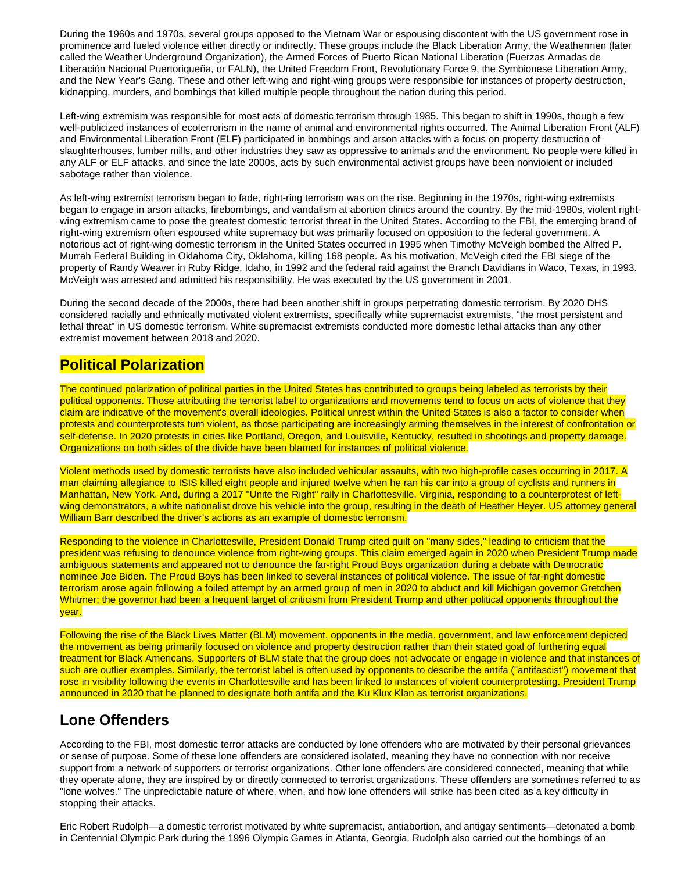During the 1960s and 1970s, several groups opposed to the Vietnam War or espousing discontent with the US government rose in prominence and fueled violence either directly or indirectly. These groups include the Black Liberation Army, the Weathermen (later called the Weather Underground Organization), the Armed Forces of Puerto Rican National Liberation (Fuerzas Armadas de Liberación Nacional Puertoriqueña, or FALN), the United Freedom Front, Revolutionary Force 9, the Symbionese Liberation Army, and the New Year's Gang. These and other left-wing and right-wing groups were responsible for instances of property destruction, kidnapping, murders, and bombings that killed multiple people throughout the nation during this period.

Left-wing extremism was responsible for most acts of domestic terrorism through 1985. This began to shift in 1990s, though a few well-publicized instances of ecoterrorism in the name of animal and environmental rights occurred. The Animal Liberation Front (ALF) and Environmental Liberation Front (ELF) participated in bombings and arson attacks with a focus on property destruction of slaughterhouses, lumber mills, and other industries they saw as oppressive to animals and the environment. No people were killed in any ALF or ELF attacks, and since the late 2000s, acts by such environmental activist groups have been nonviolent or included sabotage rather than violence.

As left-wing extremist terrorism began to fade, right-ring terrorism was on the rise. Beginning in the 1970s, right-wing extremists began to engage in arson attacks, firebombings, and vandalism at abortion clinics around the country. By the mid-1980s, violent rightwing extremism came to pose the greatest domestic terrorist threat in the United States. According to the FBI, the emerging brand of right-wing extremism often espoused white supremacy but was primarily focused on opposition to the federal government. A notorious act of right-wing domestic terrorism in the United States occurred in 1995 when Timothy McVeigh bombed the Alfred P. Murrah Federal Building in Oklahoma City, Oklahoma, killing 168 people. As his motivation, McVeigh cited the FBI siege of the property of Randy Weaver in Ruby Ridge, Idaho, in 1992 and the federal raid against the Branch Davidians in Waco, Texas, in 1993. McVeigh was arrested and admitted his responsibility. He was executed by the US government in 2001.

During the second decade of the 2000s, there had been another shift in groups perpetrating domestic terrorism. By 2020 DHS considered racially and ethnically motivated violent extremists, specifically white supremacist extremists, "the most persistent and lethal threat" in US domestic terrorism. White supremacist extremists conducted more domestic lethal attacks than any other extremist movement between 2018 and 2020.

#### **Political Polarization**

The continued polarization of political parties in the United States has contributed to groups being labeled as terrorists by their political opponents. Those attributing the terrorist label to organizations and movements tend to focus on acts of violence that they claim are indicative of the movement's overall ideologies. Political unrest within the United States is also a factor to consider when protests and counterprotests turn violent, as those participating are increasingly arming themselves in the interest of confrontation or self-defense. In 2020 protests in cities like Portland, Oregon, and Louisville, Kentucky, resulted in shootings and property damage. Organizations on both sides of the divide have been blamed for instances of political violence.

Violent methods used by domestic terrorists have also included vehicular assaults, with two high-profile cases occurring in 2017. A man claiming allegiance to ISIS killed eight people and injured twelve when he ran his car into a group of cyclists and runners in Manhattan, New York. And, during a 2017 "Unite the Right" rally in Charlottesville, Virginia, responding to a counterprotest of leftwing demonstrators, a white nationalist drove his vehicle into the group, resulting in the death of Heather Heyer. US attorney general William Barr described the driver's actions as an example of domestic terrorism.

Responding to the violence in Charlottesville, President Donald Trump cited guilt on "many sides," leading to criticism that the president was refusing to denounce violence from right-wing groups. This claim emerged again in 2020 when President Trump made ambiguous statements and appeared not to denounce the far-right Proud Boys organization during a debate with Democratic nominee Joe Biden. The Proud Boys has been linked to several instances of political violence. The issue of far-right domestic terrorism arose again following a foiled attempt by an armed group of men in 2020 to abduct and kill Michigan governor Gretchen Whitmer; the governor had been a frequent target of criticism from President Trump and other political opponents throughout the year.

Following the rise of the Black Lives Matter (BLM) movement, opponents in the media, government, and law enforcement depicted the movement as being primarily focused on violence and property destruction rather than their stated goal of furthering equal treatment for Black Americans. Supporters of BLM state that the group does not advocate or engage in violence and that instances of such are outlier examples. Similarly, the terrorist label is often used by opponents to describe the antifa ("antifascist") movement that rose in visibility following the events in Charlottesville and has been linked to instances of violent counterprotesting. President Trump announced in 2020 that he planned to designate both antifa and the Ku Klux Klan as terrorist organizations.

#### **Lone Offenders**

According to the FBI, most domestic terror attacks are conducted by lone offenders who are motivated by their personal grievances or sense of purpose. Some of these lone offenders are considered isolated, meaning they have no connection with nor receive support from a network of supporters or terrorist organizations. Other lone offenders are considered connected, meaning that while they operate alone, they are inspired by or directly connected to terrorist organizations. These offenders are sometimes referred to as "lone wolves." The unpredictable nature of where, when, and how lone offenders will strike has been cited as a key difficulty in stopping their attacks.

Eric Robert Rudolph—a domestic terrorist motivated by white supremacist, antiabortion, and antigay sentiments—detonated a bomb in Centennial Olympic Park during the 1996 Olympic Games in Atlanta, Georgia. Rudolph also carried out the bombings of an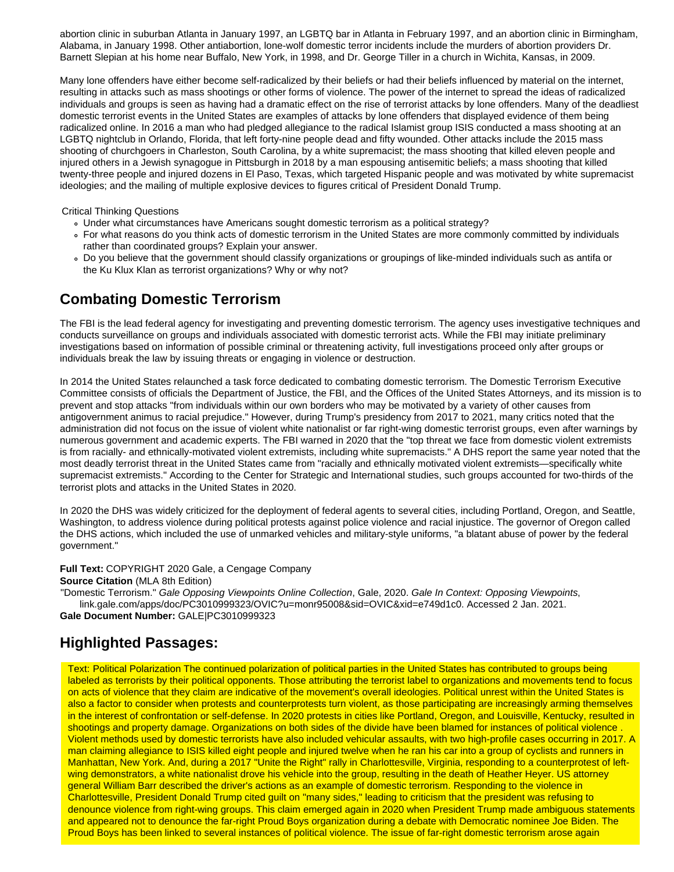abortion clinic in suburban Atlanta in January 1997, an LGBTQ bar in Atlanta in February 1997, and an abortion clinic in Birmingham, Alabama, in January 1998. Other antiabortion, lone-wolf domestic terror incidents include the murders of abortion providers Dr. Barnett Slepian at his home near Buffalo, New York, in 1998, and Dr. George Tiller in a church in Wichita, Kansas, in 2009.

Many lone offenders have either become self-radicalized by their beliefs or had their beliefs influenced by material on the internet, resulting in attacks such as mass shootings or other forms of violence. The power of the internet to spread the ideas of radicalized individuals and groups is seen as having had a dramatic effect on the rise of terrorist attacks by lone offenders. Many of the deadliest domestic terrorist events in the United States are examples of attacks by lone offenders that displayed evidence of them being radicalized online. In 2016 a man who had pledged allegiance to the radical Islamist group ISIS conducted a mass shooting at an LGBTQ nightclub in Orlando, Florida, that left forty-nine people dead and fifty wounded. Other attacks include the 2015 mass shooting of churchgoers in Charleston, South Carolina, by a white supremacist; the mass shooting that killed eleven people and injured others in a Jewish synagogue in Pittsburgh in 2018 by a man espousing antisemitic beliefs; a mass shooting that killed twenty-three people and injured dozens in El Paso, Texas, which targeted Hispanic people and was motivated by white supremacist ideologies; and the mailing of multiple explosive devices to figures critical of President Donald Trump.

Critical Thinking Questions

- Under what circumstances have Americans sought domestic terrorism as a political strategy?
- For what reasons do you think acts of domestic terrorism in the United States are more commonly committed by individuals rather than coordinated groups? Explain your answer.
- Do you believe that the government should classify organizations or groupings of like-minded individuals such as antifa or the Ku Klux Klan as terrorist organizations? Why or why not?

# **Combating Domestic Terrorism**

The FBI is the lead federal agency for investigating and preventing domestic terrorism. The agency uses investigative techniques and conducts surveillance on groups and individuals associated with domestic terrorist acts. While the FBI may initiate preliminary investigations based on information of possible criminal or threatening activity, full investigations proceed only after groups or individuals break the law by issuing threats or engaging in violence or destruction.

In 2014 the United States relaunched a task force dedicated to combating domestic terrorism. The Domestic Terrorism Executive Committee consists of officials the Department of Justice, the FBI, and the Offices of the United States Attorneys, and its mission is to prevent and stop attacks "from individuals within our own borders who may be motivated by a variety of other causes from antigovernment animus to racial prejudice." However, during Trump's presidency from 2017 to 2021, many critics noted that the administration did not focus on the issue of violent white nationalist or far right-wing domestic terrorist groups, even after warnings by numerous government and academic experts. The FBI warned in 2020 that the "top threat we face from domestic violent extremists is from racially- and ethnically-motivated violent extremists, including white supremacists." A DHS report the same year noted that the most deadly terrorist threat in the United States came from "racially and ethnically motivated violent extremists—specifically white supremacist extremists." According to the Center for Strategic and International studies, such groups accounted for two-thirds of the terrorist plots and attacks in the United States in 2020.

In 2020 the DHS was widely criticized for the deployment of federal agents to several cities, including Portland, Oregon, and Seattle, Washington, to address violence during political protests against police violence and racial injustice. The governor of Oregon called the DHS actions, which included the use of unmarked vehicles and military-style uniforms, "a blatant abuse of power by the federal government."

**Full Text:** COPYRIGHT 2020 Gale, a Cengage Company

**Source Citation** (MLA 8th Edition)

"Domestic Terrorism." Gale Opposing Viewpoints Online Collection, Gale, 2020. Gale In Context: Opposing Viewpoints, link.gale.com/apps/doc/PC3010999323/OVIC?u=monr95008&sid=OVIC&xid=e749d1c0. Accessed 2 Jan. 2021.

# **Gale Document Number:** GALE|PC3010999323

# **Highlighted Passages:**

Text: Political Polarization The continued polarization of political parties in the United States has contributed to groups being labeled as terrorists by their political opponents. Those attributing the terrorist label to organizations and movements tend to focus on acts of violence that they claim are indicative of the movement's overall ideologies. Political unrest within the United States is also a factor to consider when protests and counterprotests turn violent, as those participating are increasingly arming themselves in the interest of confrontation or self-defense. In 2020 protests in cities like Portland, Oregon, and Louisville, Kentucky, resulted in shootings and property damage. Organizations on both sides of the divide have been blamed for instances of political violence . Violent methods used by domestic terrorists have also included vehicular assaults, with two high-profile cases occurring in 2017. A man claiming allegiance to ISIS killed eight people and injured twelve when he ran his car into a group of cyclists and runners in Manhattan, New York. And, during a 2017 "Unite the Right" rally in Charlottesville, Virginia, responding to a counterprotest of leftwing demonstrators, a white nationalist drove his vehicle into the group, resulting in the death of Heather Heyer. US attorney general William Barr described the driver's actions as an example of domestic terrorism. Responding to the violence in Charlottesville, President Donald Trump cited guilt on "many sides," leading to criticism that the president was refusing to denounce violence from right-wing groups. This claim emerged again in 2020 when President Trump made ambiguous statements and appeared not to denounce the far-right Proud Boys organization during a debate with Democratic nominee Joe Biden. The Proud Boys has been linked to several instances of political violence. The issue of far-right domestic terrorism arose again